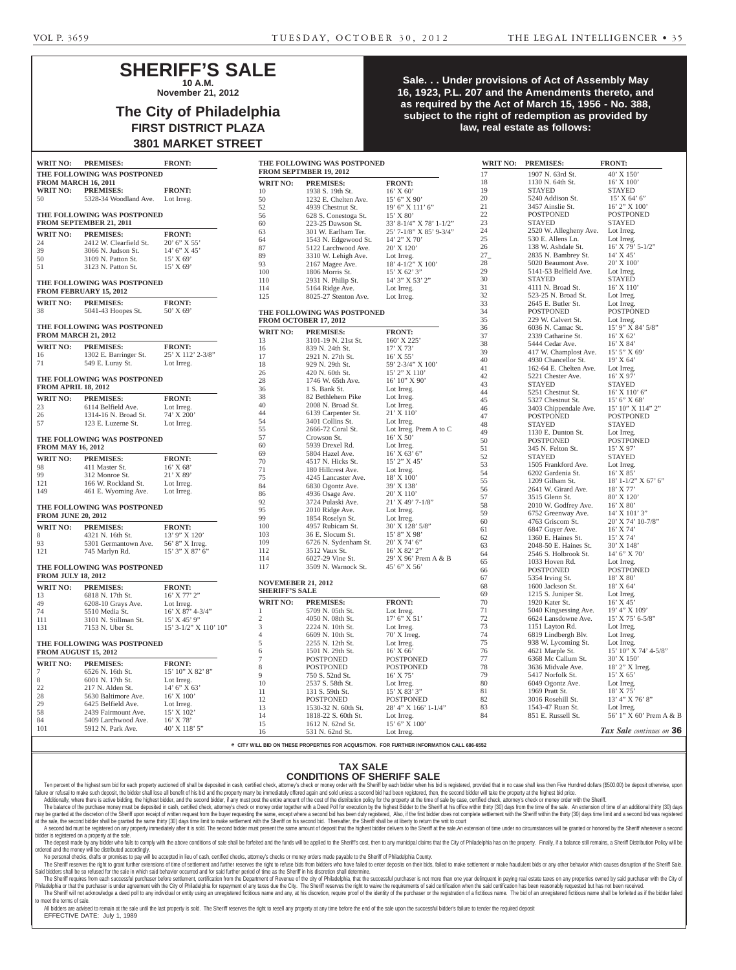## **SHERIFF'S SALE 10 A.M.**

**November 21, 2012**

## **The City of Philadelphia FIRST DISTRICT PLAZA 3801 MARKET STREET**

| <b>WRIT NO:</b>            | <b>PREMISES:</b>                                                 | <b>FRONT:</b>               |  |
|----------------------------|------------------------------------------------------------------|-----------------------------|--|
|                            | THE FOLLOWING WAS POSTPONED                                      |                             |  |
|                            | <b>FROM MARCH 16, 2011</b>                                       |                             |  |
|                            | WRIT NO: PREMISES:                                               | <b>FRONT:</b>               |  |
| 50                         | 5328-34 Woodland Ave.                                            | Lot Irreg.                  |  |
|                            | THE FOLLOWING WAS POSTPONED<br>FROM SEPTEMBER 21, 2011           |                             |  |
|                            | WRIT NO: PREMISES:                                               | <b>FRONT:</b>               |  |
| 24                         | 2412 W. Clearfield St.                                           | 20' 6" X 55'                |  |
| 39                         | 3066 N. Judson St.<br>3109 N. Patton St.                         | $14'$ 6" X 45"<br>15' X 69" |  |
| 50                         |                                                                  |                             |  |
| 51                         | 3123 N. Patton St.                                               | $15'$ X 69'                 |  |
|                            | THE FOLLOWING WAS POSTPONED<br><b>FROM FEBRUARY 15, 2012</b>     |                             |  |
| WRIT NO:                   | <b>PREMISES:</b>                                                 | <b>FRONT:</b>               |  |
| 38                         | 5041-43 Hoopes St.                                               | 50' X 69'                   |  |
|                            | THE FOLLOWING WAS POSTPONED<br><b>FROM MARCH 21, 2012</b>        |                             |  |
| <b>WRIT NO:</b>            | <b>PREMISES:</b>                                                 | <b>FRONT:</b>               |  |
| 16                         | 1302 E. Barringer St.                                            | 25' X 112' 2-3/8"           |  |
| 71                         | 549 E. Luray St.                                                 | Lot Irreg.                  |  |
| <b>FROM APRIL 18, 2012</b> | THE FOLLOWING WAS POSTPONED                                      |                             |  |
| <b>WRIT NO:</b>            | <b>PREMISES:</b>                                                 | <b>FRONT:</b>               |  |
| 23                         |                                                                  | Lot Irreg.                  |  |
| 26                         | 6114 Belfield Ave.<br>1314-16 N. Broad St.                       | 74' X 200'                  |  |
| 57                         | 123 E. Luzerne St. Lot Irreg.                                    |                             |  |
| <b>FROM MAY 16, 2012</b>   | THE FOLLOWING WAS POSTPONED                                      |                             |  |
| <b>WRIT NO:</b>            | <b>PREMISES:</b>                                                 | <b>FRONT:</b>               |  |
| 98                         | 411 Master St.                                                   | $16'$ X 68'                 |  |
| 99                         | 312 Monroe St.                                                   | $21'$ X 89'                 |  |
| 121<br>149                 | 166 W. Rockland St. Lot Irreg.<br>461 E. Wyoming Ave. Lot Irreg. |                             |  |
| <b>FROM JUNE 20, 2012</b>  | THE FOLLOWING WAS POSTPONED                                      |                             |  |
| <b>WRIT NO:</b>            | <b>PREMISES:</b>                                                 | <b>FRONT:</b>               |  |
| 8                          | 4321 N. 16th St.                                                 | 13' 9" X 120'               |  |
| 93                         | 5301 Germantown Ave. 56' 8" X Irreg.                             |                             |  |
| 121                        | 745 Marlyn Rd.                                                   | 15' 3" X 87' 6"             |  |
| <b>FROM JULY 18, 2012</b>  | THE FOLLOWING WAS POSTPONED                                      |                             |  |
| <b>WRIT NO:</b>            | <b>PREMISES:</b>                                                 | <b>FRONT:</b>               |  |
| 13                         | 6818 N. 17th St.                                                 | 16' X 77' 2"                |  |
| 49                         | 6208-10 Grays Ave.                                               | Lot Irreg.                  |  |
| 74                         | 5510 Media St.                                                   | $16'$ X 87' 4-3/4"          |  |
| 111                        | 3101 N. Stillman St.                                             | 15' X 45' 9"                |  |
| 131                        | 7153 N. Uber St.                                                 | $15'$ 3-1/2" X 110' 10"     |  |
|                            | THE FOLLOWING WAS POSTPONED<br><b>FROM AUGUST 15, 2012</b>       |                             |  |
| <b>WRIT NO:</b>            | <b>PREMISES:</b>                                                 | <b>FRONT:</b>               |  |
| 7                          | 6526 N. 16th St.                                                 | 15' 10" X 82' 8"            |  |
| 8                          | 6001 N. 17th St.                                                 | Lot Irreg.                  |  |
| 22                         | 217 N. Alden St.                                                 | 14' 6'' X 63'               |  |
| 28                         | 5630 Baltimore Ave.                                              | $16'$ X $100'$              |  |
| 29<br>58                   | 6425 Belfield Ave.<br>2439 Fairmount Ave.                        | Lot Irreg.<br>15' X 102'    |  |
| 84                         | 5409 Larchwood Ave.                                              | $16'$ X 78'                 |  |
| 101                        | 5912 N. Park Ave.                                                | 40' X 118' 5"               |  |
|                            |                                                                  |                             |  |

### **Sale. . . Under provisions of Act of Assembly May 16, 1923, P.L. 207 and the Amendments thereto, and as required by the Act of March 15, 1956 - No. 388, subject to the right of redemption as provided by law, real estate as follows:**

|                                                        |                                | .                       | ───                   |                               |                         |                 |                        |                          |
|--------------------------------------------------------|--------------------------------|-------------------------|-----------------------|-------------------------------|-------------------------|-----------------|------------------------|--------------------------|
| <b>WRIT NO:</b>                                        | <b>PREMISES:</b>               | <b>FRONT:</b>           |                       | THE FOLLOWING WAS POSTPONED   |                         | <b>WRIT NO:</b> | <b>PREMISES:</b>       | <b>FRONT:</b>            |
|                                                        | THE FOLLOWING WAS POSTPONED    |                         |                       | <b>FROM SEPTMBER 19, 2012</b> |                         | 17              | 1907 N. 63rd St.       | $40'$ X $150'$           |
| <b>FROM MARCH 16, 2011</b>                             |                                |                         | <b>WRIT NO:</b>       | <b>PREMISES:</b>              | <b>FRONT:</b>           | 18              | 1130 N. 64th St.       | $16'$ X $100'$           |
| WRIT NO:                                               | <b>PREMISES:</b>               | <b>FRONT:</b>           |                       |                               |                         | 19              | <b>STAYED</b>          | <b>STAYED</b>            |
| 50                                                     | 5328-34 Woodland Ave.          | Lot Irreg.              | 10                    | 1938 S. 19th St.              | 16' X 60'               | $20\,$          | 5240 Addison St.       | $15'$ X 64' 6"           |
|                                                        |                                |                         | $50\,$                | 1232 E. Chelten Ave.          | 15' 6''  X 90'          | 21              | 3457 Ainslie St.       | 16' 2" X 100'            |
|                                                        |                                |                         | 52                    | 4939 Chestnut St.             | $19'$ 6" X $111'$ 6"    |                 |                        |                          |
|                                                        | THE FOLLOWING WAS POSTPONED    |                         | 56                    | 628 S. Conestoga St.          | 15' X 80'               | $22\,$          | <b>POSTPONED</b>       | <b>POSTPONED</b>         |
|                                                        | <b>FROM SEPTEMBER 21, 2011</b> |                         | 60                    | 223-25 Dawson St.             | 33' 8-1/4" X 78' 1-1/2" | 23              | <b>STAYED</b>          | <b>STAYED</b>            |
| <b>WRIT NO:</b>                                        | <b>PREMISES:</b>               | <b>FRONT:</b>           | 63                    | 301 W. Earlham Ter.           | 25' 7-1/8" X 85' 9-3/4" | 24              | 2520 W. Allegheny Ave. | Lot Irreg.               |
| 24                                                     | 2412 W. Clearfield St.         | $20'$ 6" X 55"          | 64                    | 1543 N. Edgewood St.          | 14' 2" X 70'            | $25\,$          | 530 E. Allens Ln.      | Lot Irreg.               |
| 39                                                     | 3066 N. Judson St.             | 14' 6" X 45'            | 87                    | 5122 Larchwood Ave.           | 20' X 120'              | 26              | 138 W. Ashdale St.     | $16'$ X 79' 5-1/2"       |
|                                                        |                                |                         | 89                    | 3310 W. Lehigh Ave.           | Lot Irreg.              | $27_{-}$        | 2835 N. Bambrey St.    | $14'$ X 45'              |
| 50                                                     | 3109 N. Patton St.             | 15' X 69'               | 93                    | 2167 Magee Ave.               | 18' 4-1/2" X 100'       | 28              | 5020 Beaumont Ave.     | 20' X 100'               |
| 51                                                     | 3123 N. Patton St.             | 15' X 69'               | 100                   | 1806 Morris St.               | 15' X 62' 3"            | 29              | 5141-53 Belfield Ave.  | Lot Irreg.               |
|                                                        |                                |                         | 110                   | 2931 N. Philip St.            | 14' 3" X 53' 2"         | 30              | <b>STAYED</b>          | <b>STAYED</b>            |
|                                                        | THE FOLLOWING WAS POSTPONED    |                         | 114                   | 5164 Ridge Ave.               | Lot Irreg.              | 31              | 4111 N. Broad St.      | $16'$ X $110'$           |
|                                                        | <b>FROM FEBRUARY 15, 2012</b>  |                         |                       |                               |                         | $32\,$          | 523-25 N. Broad St.    | Lot Irreg.               |
| <b>WRIT NO:</b>                                        | <b>PREMISES:</b>               | <b>FRONT:</b>           | 125                   | 8025-27 Stenton Ave.          | Lot Irreg.              | 33              |                        |                          |
|                                                        |                                | 50' X 69'               |                       |                               |                         |                 | $2645$ E. Butler St.   | Lot Irreg.               |
| 38                                                     | 5041-43 Hoopes St.             |                         |                       | THE FOLLOWING WAS POSTPONED   |                         | 34              | <b>POSTPONED</b>       | <b>POSTPONED</b>         |
|                                                        |                                |                         |                       | FROM OCTOBER 17, 2012         |                         | 35              | 229 W. Calvert St.     | Lot Irreg.               |
|                                                        | THE FOLLOWING WAS POSTPONED    |                         | <b>WRIT NO:</b>       | <b>PREMISES:</b>              | <b>FRONT:</b>           | 36              | 6036 N. Camac St.      | 15' 9" X 84' 5/8"        |
| <b>FROM MARCH 21, 2012</b>                             |                                |                         | 13                    | 3101-19 N. 21st St.           |                         | 37              | 2339 Catharine St.     | $16'$ X 62'              |
| <b>WRIT NO:</b>                                        | <b>PREMISES:</b>               | <b>FRONT:</b>           |                       |                               | $160'$ X 225'           | 38              | 5444 Cedar Ave.        | 16' X 84'                |
| 16                                                     | 1302 E. Barringer St.          | 25' X 112' 2-3/8"       | 16                    | 839 N. 24th St.               | 17' X 73'               | 39              | 417 W. Champlost Ave.  | 15' 5" X 69'             |
|                                                        |                                |                         | 17                    | 2921 N. 27th St.              | $16'$ X 55'             | $40\,$          | 4930 Chancellor St.    | 19' X 64'                |
| 71                                                     | 549 E. Luray St.               | Lot Irreg.              | 18                    | 929 N. 29th St.               | 59' 2-3/4" X 100'       | 41              | 162-64 E. Chelten Ave. | Lot Irreg.               |
|                                                        |                                |                         | $26\,$                | 420 N. 60th St.               | $15'$ 2" X $110'$       | 42              | 5221 Chester Ave.      | 16' X 97'                |
|                                                        | THE FOLLOWING WAS POSTPONED    |                         | 28                    | 1746 W. 65th Ave.             | 16' 10" X 90'           | 43              | <b>STAYED</b>          | <b>STAYED</b>            |
| <b>FROM APRIL 18, 2012</b>                             |                                |                         | $36\,$                | 1 S. Bank St.                 | Lot Irreg.              | 44              | 5251 Chestnut St.      | $16'$ X $110'$ 6"        |
| <b>WRIT NO:</b>                                        | <b>PREMISES:</b>               | <b>FRONT:</b>           | 38                    | 82 Bethlehem Pike             | Lot Irreg.              |                 |                        |                          |
|                                                        |                                |                         | $40\,$                | 2008 N. Broad St.             | Lot Irreg.              | $45\,$          | 5327 Chestnut St.      | 15' 6'' X 68'            |
| 23                                                     | 6114 Belfield Ave.             | Lot Irreg.              | 44                    | 6139 Carpenter St.            | $21'$ X 110'            | 46              | 3403 Chippendale Ave.  | 15' 10" X 114" 2"        |
| 26                                                     | 1314-16 N. Broad St.           | 74' X 200'              | 54                    | 3401 Collins St.              | Lot Irreg.              | 47              | <b>POSTPONED</b>       | <b>POSTPONED</b>         |
| 57                                                     | 123 E. Luzerne St.             | Lot Irreg.              |                       |                               |                         | 48              | <b>STAYED</b>          | <b>STAYED</b>            |
|                                                        |                                |                         | 55                    | 2666-72 Coral St.             | Lot Irreg. Prem A to C  | 49              | 1130 E. Dunton St.     | Lot Irreg.               |
|                                                        | THE FOLLOWING WAS POSTPONED    |                         | 57                    | Crowson St.                   | 16' X 50'               | 50              | <b>POSTPONED</b>       | <b>POSTPONED</b>         |
| <b>FROM MAY 16, 2012</b>                               |                                |                         | 60                    | 5939 Drexel Rd.               | Lot Irreg.              | 51              | 345 N. Felton St.      | 15' X 97'                |
|                                                        |                                |                         | 69                    | 5804 Hazel Ave.               | $16'$ X 63' 6"          | 52              | <b>STAYED</b>          | <b>STAYED</b>            |
| <b>WRIT NO:</b>                                        | <b>PREMISES:</b>               | <b>FRONT:</b>           | 70                    | 4517 N. Hicks St.             | $15'$ 2" X 45'          | 53              | 1505 Frankford Ave.    | Lot Irreg.               |
| 98                                                     | 411 Master St.                 | $16'$ X 68'             | 71                    | 180 Hillcrest Ave.            | Lot Irreg.              | 54              |                        |                          |
| 99                                                     | 312 Monroe St.                 | $21'$ X 89'             | 75                    | 4245 Lancaster Ave.           | 18' X 100'              |                 | 6202 Gardenia St.      | $16'$ X $85'$            |
| 121                                                    | 166 W. Rockland St.            | Lot Irreg.              | 84                    | 6830 Ogontz Ave.              | 39' X 138'              | 55              | 1209 Gilham St.        | $18'$ 1-1/2" X 67' 6"    |
| 149                                                    | 461 E. Wyoming Ave.            | Lot Irreg.              | 86                    | 4936 Osage Ave.               | 20' X 110'              | 56              | 2641 W. Girard Ave.    | 18' X 77'                |
|                                                        |                                |                         | 92                    |                               | $21'$ X 49' 7-1/8"      | 57              | 3515 Glenn St.         | 80' X 120'               |
|                                                        | THE FOLLOWING WAS POSTPONED    |                         |                       | 3724 Pulaski Ave.             |                         | 58              | 2010 W. Godfrey Ave.   | 16' X 80'                |
| <b>FROM JUNE 20, 2012</b>                              |                                |                         | 95                    | 2010 Ridge Ave.               | Lot Irreg.              | 59              | 6752 Greenway Ave.     | $14'$ X $101'$ 3"        |
|                                                        |                                |                         | 99                    | 1854 Roselyn St.              | Lot Irreg.              | 60              | 4763 Griscom St.       | 20' X 74' 10-7/8"        |
| <b>WRIT NO:</b>                                        | <b>PREMISES:</b>               | <b>FRONT:</b>           | 100                   | 4957 Rubicam St.              | 30' X 128' 5/8"         | 61              | 6847 Guyer Ave.        | 16' X 74'                |
| 8                                                      | 4321 N. 16th St.               | 13' 9" X 120'           | 103                   | 36 E. Slocum St.              | 15' 8" X 98'            | 62              | 1360 E. Haines St.     | 15' X 74'                |
| 93                                                     | 5301 Germantown Ave.           | 56' 8" X Irreg.         | 109                   | 6726 N. Sydenham St.          | $20'$ X 74' 6"          | 63              | 2048-50 E. Haines St.  | 30' X 148'               |
| 121                                                    | 745 Marlyn Rd.                 | $15'$ 3" X 87' 6"       | 112                   | 3512 Vaux St.                 | 16' X 82' 2'            | 64              | 2546 S. Holbrook St.   | $14'$ 6" X 70"           |
|                                                        |                                |                         | 114                   | 6027-29 Vine St.              | 29' X 96' Prem A & B    |                 |                        |                          |
|                                                        | THE FOLLOWING WAS POSTPONED    |                         | 117                   | 3509 N. Warnock St.           | 45' 6" X 56'            | 65              | 1033 Hoven Rd.         | Lot Irreg.               |
|                                                        |                                |                         |                       |                               |                         | 66              | <b>POSTPONED</b>       | POSTPONED                |
| <b>FROM JULY 18, 2012</b><br><b>NOVEMEBER 21, 2012</b> |                                |                         | 67                    | 5354 Irving St.               | $18'$ X $80'$           |                 |                        |                          |
| <b>WRIT NO:</b>                                        | <b>PREMISES:</b>               | <b>FRONT:</b>           | <b>SHERIFF'S SALE</b> |                               |                         | 68              | 1600 Jackson St.       | 18' X 64'                |
| 13                                                     | 6818 N. 17th St.               | 16' X 77' 2"            |                       |                               |                         | 69              | 1215 S. Juniper St.    | Lot Irreg.               |
| 49                                                     | 6208-10 Grays Ave.             | Lot Irreg.              | <b>WRIT NO:</b>       | <b>PREMISES:</b>              | <b>FRONT:</b>           | 70              | 1920 Kater St.         | $16'$ X 45'              |
| 74                                                     | 5510 Media St.                 | $16'$ X 87' 4-3/4"      |                       | 5709 N. 05th St.              | Lot Irreg.              | 71              | 5040 Kingsessing Ave.  | 19' 4" X 109'            |
| 111                                                    | 3101 N. Stillman St.           | 15' X 45' 9"            | 2                     | 4050 N. 08th St.              | 17' 6''  X 51'          | 72              | 6624 Lansdowne Ave.    | $15'$ X 75' 6-5/8"       |
|                                                        |                                |                         | 3                     | 2224 N. 10th St.              | Lot Irreg.              | 73              | 1151 Layton Rd.        | Lot Irreg.               |
| 131                                                    | 7153 N. Uber St.               | $15'$ 3-1/2" X 110' 10" | $\overline{4}$        | 6609 N. 10th St.              | $70'$ X Irreg.          | 74              | 6819 Lindbergh Blv.    |                          |
|                                                        |                                |                         |                       |                               |                         |                 |                        | Lot Irreg.               |
|                                                        | THE FOLLOWING WAS POSTPONED    |                         | 5                     | 2255 N. 12th St.              | Lot Irreg.              | 75              | 938 W. Lycoming St.    | Lot Irreg.               |
|                                                        | <b>FROM AUGUST 15, 2012</b>    |                         | 6                     | 1501 N. 29th St.              | $16'$ X 66'             | 76              | 4621 Marple St.        | 15' 10" X 74' 4-5/8"     |
| <b>WRIT NO:</b>                                        | <b>PREMISES:</b>               | <b>FRONT:</b>           | 7                     | POSTPONED                     | <b>POSTPONED</b>        | 77              | 6368 Mc Callum St.     | $30'$ X $150'$           |
|                                                        | 6526 N. 16th St.               | 15' 10" X 82' 8"        | 8                     | POSTPONED                     | <b>POSTPONED</b>        | 78              | 3636 Midvale Ave.      | 18' 2" X Irreg.          |
|                                                        |                                |                         | 9                     | 750 S. 52nd St.               | $16'$ X 75'             | 79              | 5417 Norfolk St.       | $15'$ X 65'              |
|                                                        | 6001 N. 17th St.               | Lot Irreg.              | 10                    | 2537 S. 58th St.              | Lot Irreg.              | 80              | 6049 Ogontz Ave.       | Lot Irreg.               |
| 22                                                     | 217 N. Alden St.               | 14' 6'' X 63'           | 11                    | 131 S. 59th St.               | $15'$ X 83' 3"          | 81              | 1969 Pratt St.         | 18' X 75'                |
| 28                                                     | 5630 Baltimore Ave.            | $16'$ X $100'$          | 12                    | POSTPONED                     | <b>POSTPONED</b>        | 82              | 3016 Rosehill St.      | 13' 4" X 76' 8"          |
| 29                                                     | 6425 Belfield Ave.             | Lot Irreg.              | 13                    |                               | $28'$ 4" X 166' 1-1/4"  | 83              | 1543-47 Ruan St.       |                          |
| 58                                                     | 2439 Fairmount Ave.            | 15' X 102'              |                       | 1530-32 N. 60th St.           |                         |                 |                        | Lot Irreg.               |
| 84                                                     | 5409 Larchwood Ave.            | 16' X 78'               | 14                    | 1818-22 S. 60th St.           | Lot Irreg.              | 84              | 851 E. Russell St.     | 56' 1" X 60' Prem A & B  |
| 101                                                    | 5912 N. Park Ave.              | 40' X 118' 5"           | 15                    | 1612 N. 62nd St.              | 15' 6" X 100'           |                 |                        |                          |
|                                                        |                                |                         | 16                    | 531 N. 62nd St.               | Lot Irreg.              |                 |                        | Tax Sale continues on 36 |

**e CITY WILL BID ON THESE PROPERTIES FOR ACQUISITION. FOR FURTHER INFORMATION CALL 686-6552**

### **TAX SALE CONDITIONS OF SHERIFF SALE**

Ten percent of the highest sum bid for each property auctioned off shall be deposited in cash, certified check, attorney's check or money order with the Sheriff by each bidder when his bid is registered, provided that in n failure or refusal to make such deposit, the bidder shall lose all benefit of his bid and the property many be immediately offered again and sold unless a second bid had been registered, then, the second bidder will take t

Additionally, where there is active bidding, the highest bidder, and the second bidder, if any must post the entire amount of the cost of the distribution policy for the property at the thighest Bidder to the Sheriff at hi may be granted at the discretion of the Sheriff upon receipt of written request from the buyer requesting the same, except where a second bid has been duly registered, Also, if the first bidder does not complete settlement

at the sale, the second bidder shall be granted the same thirty (30) days time limit to make settlement with the Sheriff on his second bid. Thereafter, the Sheriff shall be at liberty to return the writ to court A second bid must be registered on any property immediately after it is sold. The second bidder must present the same amount of deposit that the highest bidder delivers to the Sheriff at the sale.An extension of time under bidder is registered on a property at the sale.

The deposit made by any bidder who fails to comply with the above conditions of sale shall be forfeited and the funds will be applied to the Sheriff's cost, then to any municipal claims that the City of Philadelphia has on ordered and the money will be distributed accordingly.

No personal checks, drafts or promises to pay will be accepted in lieu of cash, certified checks, attorney's checks or money orders made payable to the Sheriff of Philadelphia County.

The Sheriff reserves the right to grant further extensions of time of settlement and further reserves the right to refuse bids from bidders who have failed to enter deposits on their bids, failed to make settlement or make Said bidders shall be so refused for the sale in which said behavior occurred and for said further period of time as the Sheriff in his discretion shall determine.

The Sheriff requires from each successful purchaser before settlement, certification from the Department of Revenue of the city of Philadelphia, that the successful purchaser is not more than one year delinquent in paying Philadelphia or that the purchaser is under agreement with the City of Philadelphia for repayment of any taxes due the City. The Sheriff reserves the right to waive the requirements of said certification when the said cert The Sheriff will not acknowledge a deed poll to any individual or entity using an unregistered fictitious name and any, at his discretion, require proof of the identity of the purchaser or the registration of a fictitious to meet the terms of sale.

All bidders are advised to remain at the sale until the last property is sold. The Sheriff reserves the right to resell any property at any time before the end of the sale upon the successful bidder's failure to tender the

#### EFFECTIVE DATE: July 1, 1989